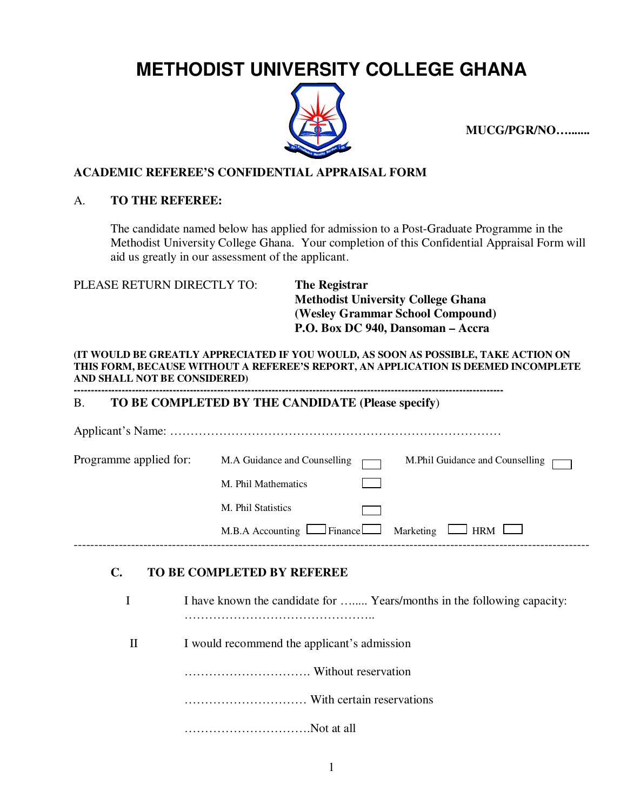# **METHODIST UNIVERSITY COLLEGE GHANA**



**MUCG/PGR/NO….......** 

## **ACADEMIC REFEREE'S CONFIDENTIAL APPRAISAL FORM**

### A. **TO THE REFEREE:**

The candidate named below has applied for admission to a Post-Graduate Programme in the Methodist University College Ghana. Your completion of this Confidential Appraisal Form will aid us greatly in our assessment of the applicant.

PLEASE RETURN DIRECTLY TO: **The Registrar** 

 **Methodist University College Ghana (Wesley Grammar School Compound) P.O. Box DC 940, Dansoman – Accra** 

**(IT WOULD BE GREATLY APPRECIATED IF YOU WOULD, AS SOON AS POSSIBLE, TAKE ACTION ON THIS FORM, BECAUSE WITHOUT A REFEREE'S REPORT, AN APPLICATION IS DEEMED INCOMPLETE AND SHALL NOT BE CONSIDERED)** 

#### **------------------------------------------------------------------------------------------------------------------------------** B. **TO BE COMPLETED BY THE CANDIDATE (Please specify**)

| Programme applied for: | M.A Guidance and Counselling<br>M.Phil Guidance and Counselling   |
|------------------------|-------------------------------------------------------------------|
|                        | M. Phil Mathematics                                               |
|                        | M. Phil Statistics                                                |
|                        | $M.B.A$ Accounting $L$ Finance<br>Marketing $\Box$<br>$\perp$ HRM |
|                        |                                                                   |

# **C. TO BE COMPLETED BY REFEREE**

|   | I have known the candidate for  Years/months in the following capacity: |
|---|-------------------------------------------------------------------------|
| П | I would recommend the applicant's admission                             |
|   |                                                                         |
|   |                                                                         |
|   | Not at all                                                              |